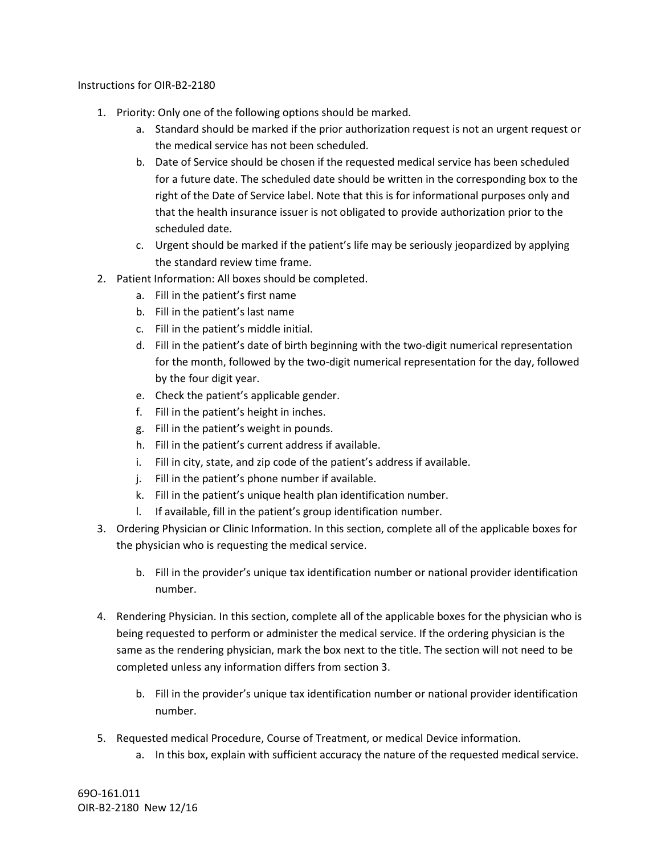Instructions for OIR-B2-2180

- 1. Priority: Only one of the following options should be marked.
	- a. Standard should be marked if the prior authorization request is not an urgent request or the medical service has not been scheduled.
	- b. Date of Service should be chosen if the requested medical service has been scheduled for a future date. The scheduled date should be written in the corresponding box to the right of the Date of Service label. Note that this is for informational purposes only and that the health insurance issuer is not obligated to provide authorization prior to the scheduled date.
	- c. Urgent should be marked if the patient's life may be seriously jeopardized by applying the standard review time frame.
- 2. Patient Information: All boxes should be completed.
	- a. Fill in the patient's first name
	- b. Fill in the patient's last name
	- c. Fill in the patient's middle initial.
	- d. Fill in the patient's date of birth beginning with the two-digit numerical representation for the month, followed by the two-digit numerical representation for the day, followed by the four digit year.
	- e. Check the patient's applicable gender.
	- f. Fill in the patient's height in inches.
	- g. Fill in the patient's weight in pounds.
	- h. Fill in the patient's current address if available.
	- i. Fill in city, state, and zip code of the patient's address if available.
	- j. Fill in the patient's phone number if available.
	- k. Fill in the patient's unique health plan identification number.
	- l. If available, fill in the patient's group identification number.
- 3. Ordering Physician or Clinic Information. In this section, complete all of the applicable boxes for the physician who is requesting the medical service.
	- b. Fill in the provider's unique tax identification number or national provider identification number.
- 4. Rendering Physician. In this section, complete all of the applicable boxes for the physician who is being requested to perform or administer the medical service. If the ordering physician is the same as the rendering physician, mark the box next to the title. The section will not need to be completed unless any information differs from section 3.
	- b. Fill in the provider's unique tax identification number or national provider identification number.
- 5. Requested medical Procedure, Course of Treatment, or medical Device information.
	- a. In this box, explain with sufficient accuracy the nature of the requested medical service.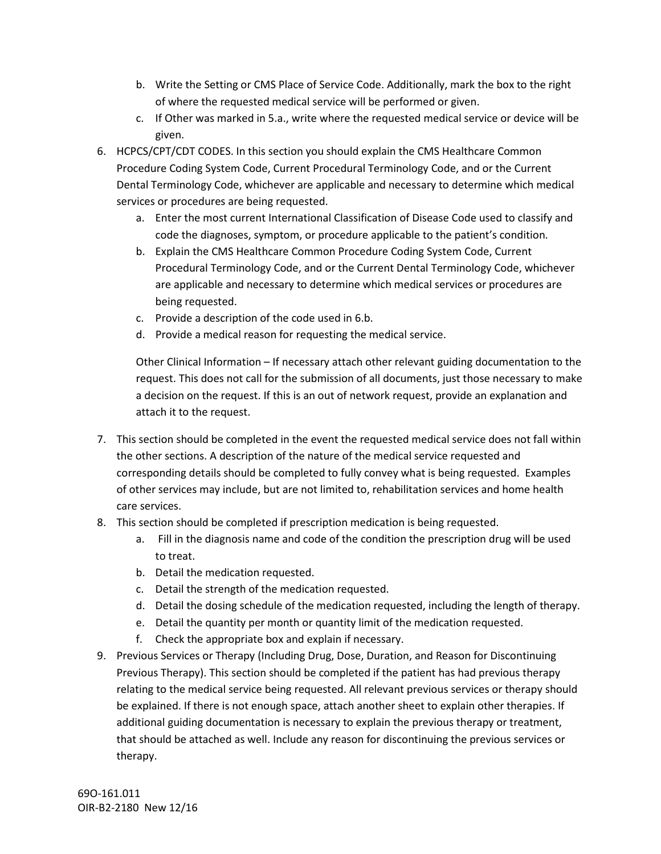- b. Write the Setting or CMS Place of Service Code. Additionally, mark the box to the right of where the requested medical service will be performed or given.
- c. If Other was marked in 5.a., write where the requested medical service or device will be given.
- 6. HCPCS/CPT/CDT CODES. In this section you should explain the CMS Healthcare Common Procedure Coding System Code, Current Procedural Terminology Code, and or the Current Dental Terminology Code, whichever are applicable and necessary to determine which medical services or procedures are being requested.
	- a. Enter the most current International Classification of Disease Code used to classify and code the diagnoses, symptom, or procedure applicable to the patient's condition.
	- b. Explain the CMS Healthcare Common Procedure Coding System Code, Current Procedural Terminology Code, and or the Current Dental Terminology Code, whichever are applicable and necessary to determine which medical services or procedures are being requested.
	- c. Provide a description of the code used in 6.b.
	- d. Provide a medical reason for requesting the medical service.

Other Clinical Information – If necessary attach other relevant guiding documentation to the request. This does not call for the submission of all documents, just those necessary to make a decision on the request. If this is an out of network request, provide an explanation and attach it to the request.

- 7. This section should be completed in the event the requested medical service does not fall within the other sections. A description of the nature of the medical service requested and corresponding details should be completed to fully convey what is being requested. Examples of other services may include, but are not limited to, rehabilitation services and home health care services.
- 8. This section should be completed if prescription medication is being requested.
	- a. Fill in the diagnosis name and code of the condition the prescription drug will be used to treat.
	- b. Detail the medication requested.
	- c. Detail the strength of the medication requested.
	- d. Detail the dosing schedule of the medication requested, including the length of therapy.
	- e. Detail the quantity per month or quantity limit of the medication requested.
	- f. Check the appropriate box and explain if necessary.
- 9. Previous Services or Therapy (Including Drug, Dose, Duration, and Reason for Discontinuing Previous Therapy). This section should be completed if the patient has had previous therapy relating to the medical service being requested. All relevant previous services or therapy should be explained. If there is not enough space, attach another sheet to explain other therapies. If additional guiding documentation is necessary to explain the previous therapy or treatment, that should be attached as well. Include any reason for discontinuing the previous services or therapy.